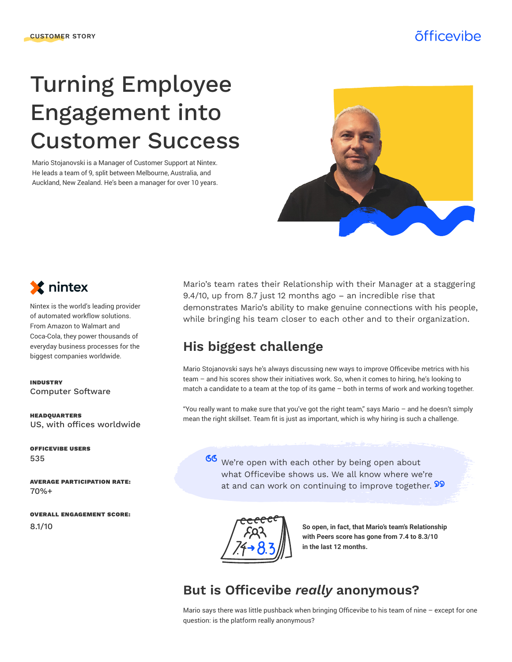# Turning Employee Engagement into Customer Success

Mario Stojanovski is a Manager of Customer Support at Nintex. He leads a team of 9, split between Melbourne, Australia, and Auckland, New Zealand. He's been a manager for over 10 years.





Nintex is the world's leading provider of automated workflow solutions. From Amazon to Walmart and Coca-Cola, they power thousands of everyday business processes for the biggest companies worldwide.

Computer Software INDUSTRY

US, with offices worldwide HEADQUARTERS

OFFICEVIBE USERS 535

AVERAGE PARTICIPATION RATE: 70%+

OVERALL ENGAGEMENT SCORE: 8.1/10

Mario's team rates their Relationship with their Manager at a staggering 9.4/10, up from 8.7 just 12 months ago – an incredible rise that demonstrates Mario's ability to make genuine connections with his people, while bringing his team closer to each other and to their organization.

# **His biggest challenge**

Mario Stojanovski says he's always discussing new ways to improve Officevibe metrics with his team – and his scores show their initiatives work. So, when it comes to hiring, he's looking to match a candidate to a team at the top of its game – both in terms of work and working together.

"You really want to make sure that you've got the right team," says Mario – and he doesn't simply mean the right skillset. Team fit is just as important, which is why hiring is such a challenge.

66 We're open with each other by being open about what Officevibe shows us. We all know where we're at and can work on continuing to improve together. 22



**So open, in fact, that Mario's team's Relationship with Peers score has gone from 7.4 to 8.3/10 in the last 12 months.**

### **But is Officevibe** *really* **anonymous?**

Mario says there was little pushback when bringing Officevibe to his team of nine – except for one question: is the platform really anonymous?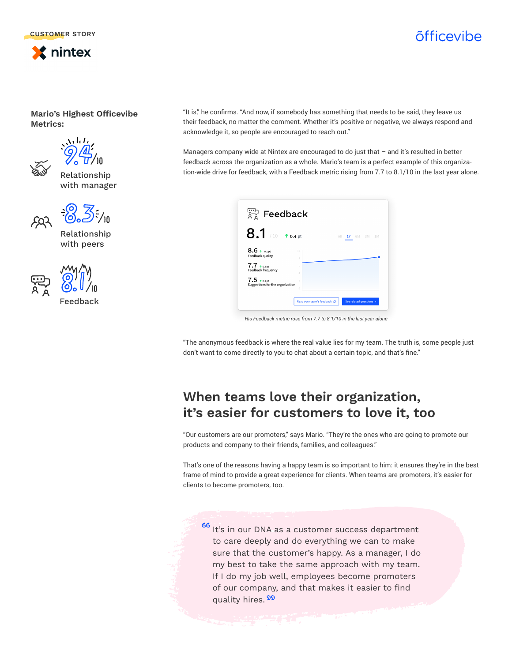

# õfficevibe

**Mario's Highest Officevibe Metrics:**



Relationship with manager





Relationship with peers



Feedback

"It is," he confirms. "And now, if somebody has something that needs to be said, they leave us their feedback, no matter the comment. Whether it's positive or negative, we always respond and acknowledge it, so people are encouraged to reach out."

Managers company-wide at Nintex are encouraged to do just that – and it's resulted in better feedback across the organization as a whole. Mario's team is a perfect example of this organization-wide drive for feedback, with a Feedback metric rising from 7.7 to 8.1/10 in the last year alone.

| <sup>ಲ್ದಾ</sup> Feedback                                                |                           |                 |
|-------------------------------------------------------------------------|---------------------------|-----------------|
| $8.1$ /10 to.4 pt                                                       |                           | All 1Y 6M 3M 1M |
| $8.6 \tiny{\textcolor{red}{\bullet}}$ o.1 pt<br><b>Feedback quality</b> | 10<br>8                   |                 |
| $7.7$ $*$ 0.2 pt<br>Feedback frequency                                  | 6<br>$\Delta$             |                 |
| $7.5$ $*$ 0.1 pt<br>Suggestions for the organization                    | $\overline{2}$<br>$\circ$ |                 |
|                                                                         |                           |                 |

*His Feedback metric rose from 7.7 to 8.1/10 in the last year alone*

"The anonymous feedback is where the real value lies for my team. The truth is, some people just don't want to come directly to you to chat about a certain topic, and that's fine."

### **When teams love their organization, it's easier for customers to love it, too**

"Our customers are our promoters," says Mario. "They're the ones who are going to promote our products and company to their friends, families, and colleagues."

That's one of the reasons having a happy team is so important to him: it ensures they're in the best frame of mind to provide a great experience for clients. When teams are promoters, it's easier for clients to become promoters, too.

66 It's in our DNA as a customer success department to care deeply and do everything we can to make sure that the customer's happy. As a manager, I do my best to take the same approach with my team. If I do my job well, employees become promoters of our company, and that makes it easier to find quality hires. 99